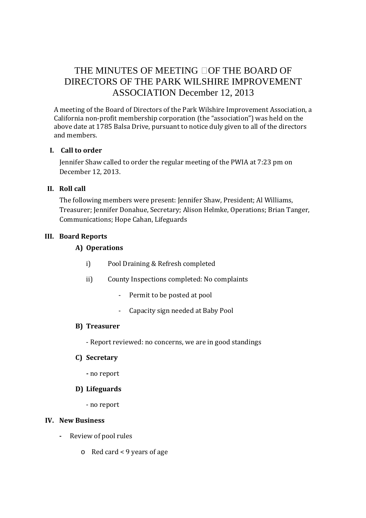# THE MINUTES OF MEETING OF THE BOARD OF DIRECTORS OF THE PARK WILSHIRE IMPROVEMENT ASSOCIATION December 12, 2013

A meeting of the Board of Directors of the Park Wilshire Improvement Association, a California non-profit membership corporation (the "association") was held on the above date at 1785 Balsa Drive, pursuant to notice duly given to all of the directors and members.

#### **I. Call to order**

Jennifer Shaw called to order the regular meeting of the PWIA at 7:23 pm on December 12, 2013.

## **II. Roll call**

The following members were present: Jennifer Shaw, President; Al Williams, Treasurer; Jennifer Donahue, Secretary; Alison Helmke, Operations; Brian Tanger, Communications; Hope Cahan, Lifeguards

## **III. Board Reports**

# **A) Operations**

- i) Pool Draining & Refresh completed
- ii) County Inspections completed: No complaints
	- Permit to be posted at pool
	- Capacity sign needed at Baby Pool

#### **B) Treasurer**

- Report reviewed: no concerns, we are in good standings

#### **C) Secretary**

**-** no report

# **D) Lifeguards**

- no report

#### **IV. New Business**

- **-** Review of pool rules
	- o Red card < 9 years of age